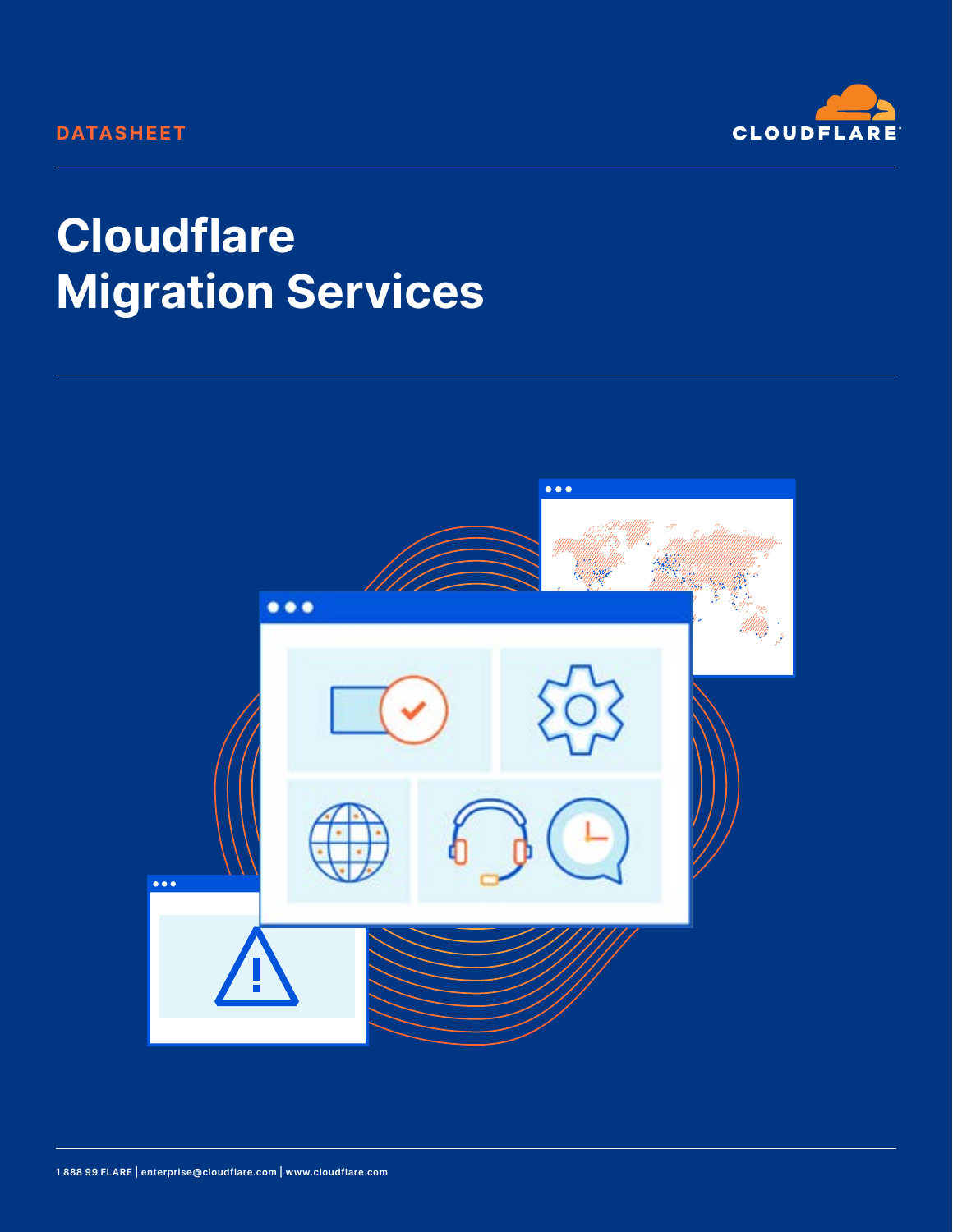## **DATASHEET**



# **Cloudflare Migration Services**

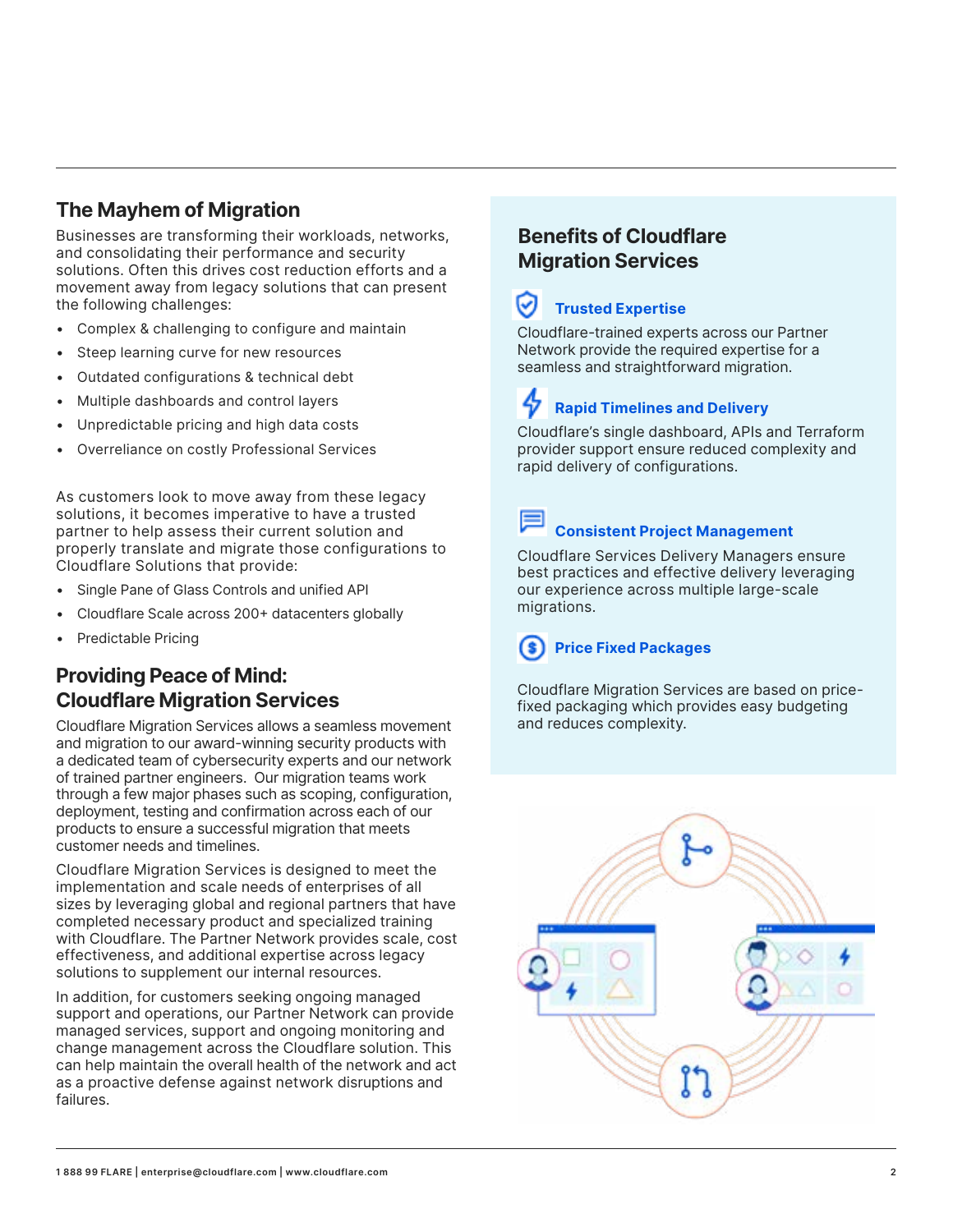## **The Mayhem of Migration**

Businesses are transforming their workloads, networks, and consolidating their performance and security solutions. Often this drives cost reduction efforts and a movement away from legacy solutions that can present the following challenges:

- Complex & challenging to configure and maintain
- Steep learning curve for new resources
- Outdated configurations & technical debt
- Multiple dashboards and control layers
- Unpredictable pricing and high data costs
- Overreliance on costly Professional Services

As customers look to move away from these legacy solutions, it becomes imperative to have a trusted partner to help assess their current solution and properly translate and migrate those configurations to Cloudflare Solutions that provide:

- Single Pane of Glass Controls and unified API
- Cloudflare Scale across 200+ datacenters globally
- Predictable Pricing

### **Providing Peace of Mind: Cloudflare Migration Services**

Cloudflare Migration Services allows a seamless movement and migration to our award-winning security products with a dedicated team of cybersecurity experts and our network of trained partner engineers. Our migration teams work through a few major phases such as scoping, configuration, deployment, testing and confirmation across each of our products to ensure a successful migration that meets customer needs and timelines.

Cloudflare Migration Services is designed to meet the implementation and scale needs of enterprises of all sizes by leveraging global and regional partners that have completed necessary product and specialized training with Cloudflare. The Partner Network provides scale, cost effectiveness, and additional expertise across legacy solutions to supplement our internal resources.

In addition, for customers seeking ongoing managed support and operations, our Partner Network can provide managed services, support and ongoing monitoring and change management across the Cloudflare solution. This can help maintain the overall health of the network and act as a proactive defense against network disruptions and failures.

## **Benefits of Cloudflare Migration Services**

## **Trusted Expertise**

Cloudflare-trained experts across our Partner Network provide the required expertise for a seamless and straightforward migration.

## **Rapid Timelines and Delivery**

Cloudflare's single dashboard, APIs and Terraform provider support ensure reduced complexity and rapid delivery of configurations.

#### **Consistent Project Management**

Cloudflare Services Delivery Managers ensure best practices and effective delivery leveraging our experience across multiple large-scale migrations.

## **Price Fixed Packages**

Cloudflare Migration Services are based on pricefixed packaging which provides easy budgeting and reduces complexity.

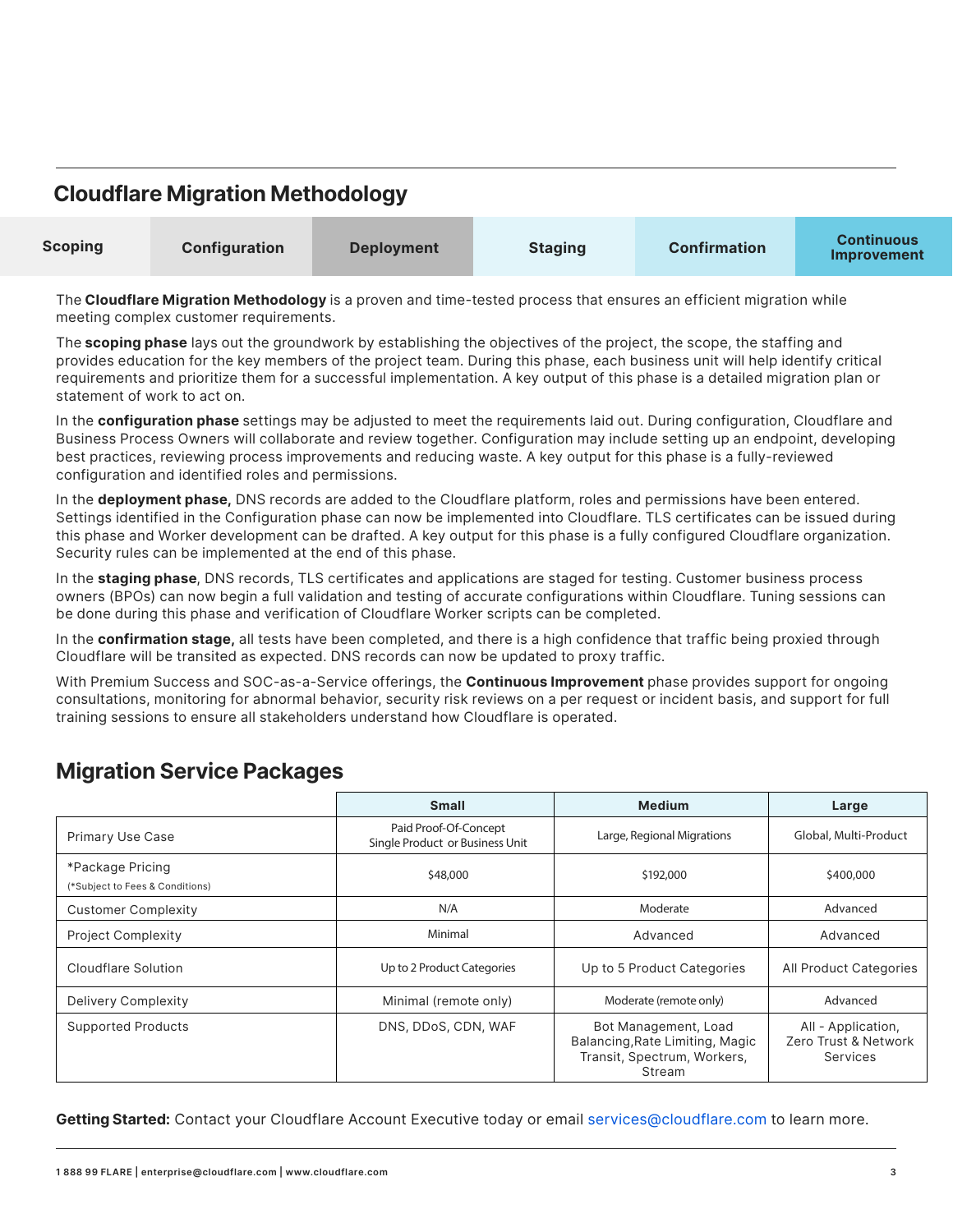|  |  |  | <b>Cloudflare Migration Methodology</b> |
|--|--|--|-----------------------------------------|
|--|--|--|-----------------------------------------|

| <b>Scoping</b> | <b>Configuration</b> | <b>Deployment</b> | <b>Staging</b> | <b>Confirmation</b> | <b>Continuous</b><br>Improvement |
|----------------|----------------------|-------------------|----------------|---------------------|----------------------------------|
|----------------|----------------------|-------------------|----------------|---------------------|----------------------------------|

The **Cloudflare Migration Methodology** is a proven and time-tested process that ensures an efficient migration while meeting complex customer requirements.

The **scoping phase** lays out the groundwork by establishing the objectives of the project, the scope, the staffing and provides education for the key members of the project team. During this phase, each business unit will help identify critical requirements and prioritize them for a successful implementation. A key output of this phase is a detailed migration plan or statement of work to act on.

In the **configuration phase** settings may be adjusted to meet the requirements laid out. During configuration, Cloudflare and Business Process Owners will collaborate and review together. Configuration may include setting up an endpoint, developing best practices, reviewing process improvements and reducing waste. A key output for this phase is a fully-reviewed configuration and identified roles and permissions.

In the **deployment phase,** DNS records are added to the Cloudflare platform, roles and permissions have been entered. Settings identified in the Configuration phase can now be implemented into Cloudflare. TLS certificates can be issued during this phase and Worker development can be drafted. A key output for this phase is a fully configured Cloudflare organization. Security rules can be implemented at the end of this phase.

In the **staging phase**, DNS records, TLS certificates and applications are staged for testing. Customer business process owners (BPOs) can now begin a full validation and testing of accurate configurations within Cloudflare. Tuning sessions can be done during this phase and verification of Cloudflare Worker scripts can be completed.

In the **confirmation stage,** all tests have been completed, and there is a high confidence that traffic being proxied through Cloudflare will be transited as expected. DNS records can now be updated to proxy traffic.

With Premium Success and SOC-as-a-Service offerings, the **Continuous Improvement** phase provides support for ongoing consultations, monitoring for abnormal behavior, security risk reviews on a per request or incident basis, and support for full training sessions to ensure all stakeholders understand how Cloudflare is operated.

## **Migration Service Packages**

|                                                     | <b>Small</b>                                             | <b>Medium</b>                                                                                    | Large                                                  |
|-----------------------------------------------------|----------------------------------------------------------|--------------------------------------------------------------------------------------------------|--------------------------------------------------------|
| <b>Primary Use Case</b>                             | Paid Proof-Of-Concept<br>Single Product or Business Unit | Large, Regional Migrations                                                                       | Global, Multi-Product                                  |
| *Package Pricing<br>(*Subject to Fees & Conditions) | \$48,000                                                 | \$192,000                                                                                        | \$400,000                                              |
| <b>Customer Complexity</b>                          | N/A                                                      | Moderate                                                                                         | Advanced                                               |
| <b>Project Complexity</b>                           | Minimal                                                  | Advanced                                                                                         | Advanced                                               |
| Cloudflare Solution                                 | Up to 2 Product Categories                               | Up to 5 Product Categories                                                                       | All Product Categories                                 |
| Delivery Complexity                                 | Minimal (remote only)                                    | Moderate (remote only)                                                                           | Advanced                                               |
| <b>Supported Products</b>                           | DNS, DDoS, CDN, WAF                                      | Bot Management, Load<br>Balancing, Rate Limiting, Magic<br>Transit, Spectrum, Workers,<br>Stream | All - Application,<br>Zero Trust & Network<br>Services |

**Getting Started:** Contact your Cloudflare Account Executive today or email services@cloudflare.com to learn more.